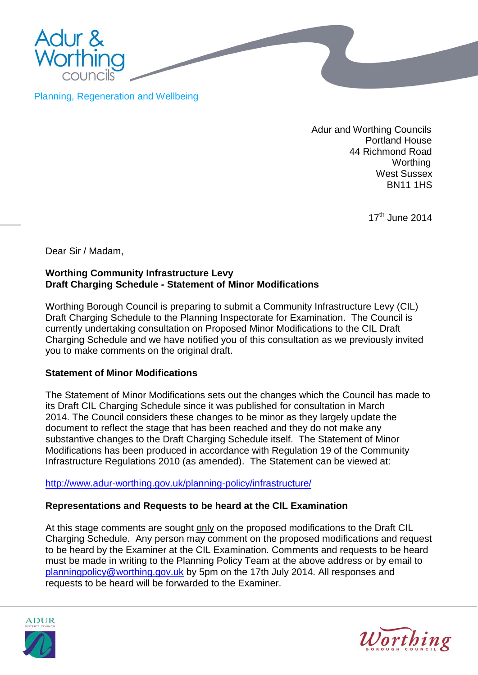

Planning, Regeneration and Wellbeing

 Adur and Worthing Councils Portland House 44 Richmond Road **Worthing** West Sussex BN11 1HS

17<sup>th</sup> June 2014

Dear Sir / Madam,

## **Worthing Community Infrastructure Levy Draft Charging Schedule - Statement of Minor Modifications**

Worthing Borough Council is preparing to submit a Community Infrastructure Levy (CIL) Draft Charging Schedule to the Planning Inspectorate for Examination. The Council is currently undertaking consultation on Proposed Minor Modifications to the CIL Draft Charging Schedule and we have notified you of this consultation as we previously invited you to make comments on the original draft.

## **Statement of Minor Modifications**

The Statement of Minor Modifications sets out the changes which the Council has made to its Draft CIL Charging Schedule since it was published for consultation in March 2014. The Council considers these changes to be minor as they largely update the document to reflect the stage that has been reached and they do not make any substantive changes to the Draft Charging Schedule itself. The Statement of Minor Modifications has been produced in accordance with Regulation 19 of the Community Infrastructure Regulations 2010 (as amended). The Statement can be viewed at:

<http://www.adur-worthing.gov.uk/planning-policy/infrastructure/>

## **Representations and Requests to be heard at the CIL Examination**

At this stage comments are sought only on the proposed modifications to the Draft CIL Charging Schedule. Any person may comment on the proposed modifications and request to be heard by the Examiner at the CIL Examination. Comments and requests to be heard must be made in writing to the Planning Policy Team at the above address or by email to [planningpolicy@worthing.gov.uk](mailto:planningpolicy@worthing.gov.uk) by 5pm on the 17th July 2014. All responses and requests to be heard will be forwarded to the Examiner.